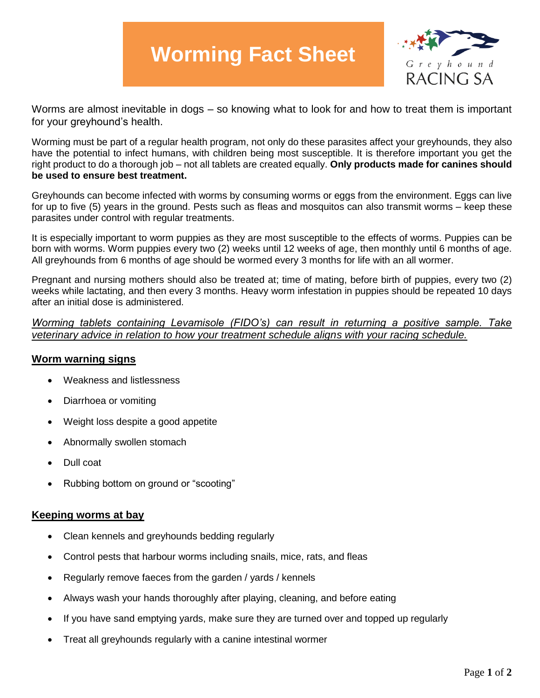## **Worming Fact Sheet**



Worms are almost inevitable in dogs – so knowing what to look for and how to treat them is important for your greyhound's health.

Worming must be part of a regular health program, not only do these parasites affect your greyhounds, they also have the potential to infect humans, with children being most susceptible. It is therefore important you get the right product to do a thorough job – not all tablets are created equally. **Only products made for canines should be used to ensure best treatment.** 

Greyhounds can become infected with worms by consuming worms or eggs from the environment. Eggs can live for up to five (5) years in the ground. Pests such as fleas and mosquitos can also transmit worms – keep these parasites under control with regular treatments.

It is especially important to worm puppies as they are most susceptible to the effects of worms. Puppies can be born with worms. Worm puppies every two (2) weeks until 12 weeks of age, then monthly until 6 months of age. All greyhounds from 6 months of age should be wormed every 3 months for life with an all wormer.

Pregnant and nursing mothers should also be treated at; time of mating, before birth of puppies, every two (2) weeks while lactating, and then every 3 months. Heavy worm infestation in puppies should be repeated 10 days after an initial dose is administered.

*Worming tablets containing Levamisole (FIDO's) can result in returning a positive sample. Take veterinary advice in relation to how your treatment schedule aligns with your racing schedule.* 

## **Worm warning signs**

- Weakness and listlessness
- Diarrhoea or vomiting
- Weight loss despite a good appetite
- Abnormally swollen stomach
- Dull coat
- Rubbing bottom on ground or "scooting"

## **Keeping worms at bay**

- Clean kennels and greyhounds bedding regularly
- Control pests that harbour worms including snails, mice, rats, and fleas
- Regularly remove faeces from the garden / yards / kennels
- Always wash your hands thoroughly after playing, cleaning, and before eating
- If you have sand emptying yards, make sure they are turned over and topped up regularly
- Treat all greyhounds regularly with a canine intestinal wormer